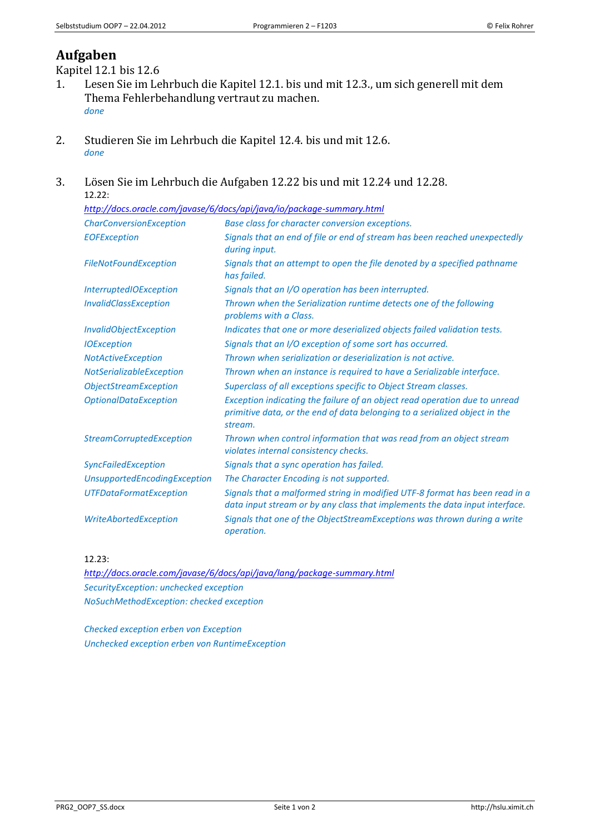## **Aufgaben**

Kapitel 12.1 bis 12.6

- 1. Lesen Sie im Lehrbuch die Kapitel 12.1. bis und mit 12.3., um sich generell mit dem Thema Fehlerbehandlung vertraut zu machen. *done*
- 2. Studieren Sie im Lehrbuch die Kapitel 12.4. bis und mit 12.6. *done*
- 3. Lösen Sie im Lehrbuch die Aufgaben 12.22 bis und mit 12.24 und 12.28. 12.22:

| http://docs.oracle.com/javase/6/docs/api/java/io/package-summary.html |                                                                                                                                                                     |
|-----------------------------------------------------------------------|---------------------------------------------------------------------------------------------------------------------------------------------------------------------|
| <b>CharConversionException</b>                                        | Base class for character conversion exceptions.                                                                                                                     |
| <b>EOFException</b>                                                   | Signals that an end of file or end of stream has been reached unexpectedly<br>during input.                                                                         |
| <b>FileNotFoundException</b>                                          | Signals that an attempt to open the file denoted by a specified pathname<br>has failed.                                                                             |
| <b>InterruptedIOException</b>                                         | Signals that an I/O operation has been interrupted.                                                                                                                 |
| <b>InvalidClassException</b>                                          | Thrown when the Serialization runtime detects one of the following<br>problems with a Class.                                                                        |
| <b>InvalidObjectException</b>                                         | Indicates that one or more deserialized objects failed validation tests.                                                                                            |
| <b>IOException</b>                                                    | Signals that an I/O exception of some sort has occurred.                                                                                                            |
| <b>NotActiveException</b>                                             | Thrown when serialization or deserialization is not active.                                                                                                         |
| NotSerializableException                                              | Thrown when an instance is required to have a Serializable interface.                                                                                               |
| <b>ObjectStreamException</b>                                          | Superclass of all exceptions specific to Object Stream classes.                                                                                                     |
| <b>OptionalDataException</b>                                          | Exception indicating the failure of an object read operation due to unread<br>primitive data, or the end of data belonging to a serialized object in the<br>stream. |
| <b>StreamCorruptedException</b>                                       | Thrown when control information that was read from an object stream<br>violates internal consistency checks.                                                        |
| <b>SyncFailedException</b>                                            | Signals that a sync operation has failed.                                                                                                                           |
| UnsupportedEncodingException                                          | The Character Encoding is not supported.                                                                                                                            |
| <b>UTFDataFormatException</b>                                         | Signals that a malformed string in modified UTF-8 format has been read in a<br>data input stream or by any class that implements the data input interface.          |
| WriteAbortedException                                                 | Signals that one of the ObjectStreamExceptions was thrown during a write<br>operation.                                                                              |

12.23:

*<http://docs.oracle.com/javase/6/docs/api/java/lang/package-summary.html> SecurityException: unchecked exception NoSuchMethodException: checked exception*

*Checked exception erben von Exception Unchecked exception erben von RuntimeException*